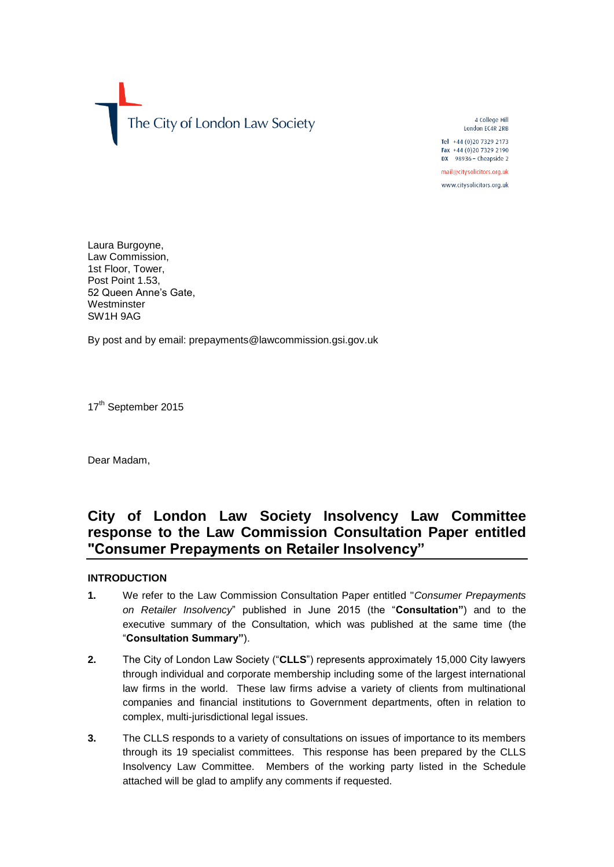

4 College Hill London EC4R 2RB

Tel +44 (0)20 7329 2173 Fax +44 (0)20 7329 2190 DX 98936 - Cheapside 2

mail@citysolicitors.org.uk www.citysolicitors.org.uk

Laura Burgoyne, Law Commission, 1st Floor, Tower, Post Point 1.53. 52 Queen Anne's Gate, **Westminster** SW1H 9AG

By post and by email: prepayments@lawcommission.gsi.gov.uk

17<sup>th</sup> September 2015

Dear Madam,

# **City of London Law Society Insolvency Law Committee response to the Law Commission Consultation Paper entitled "Consumer Prepayments on Retailer Insolvency"**

### **INTRODUCTION**

- **1.** We refer to the Law Commission Consultation Paper entitled "*Consumer Prepayments on Retailer Insolvency*" published in June 2015 (the "**Consultation"**) and to the executive summary of the Consultation, which was published at the same time (the "**Consultation Summary"**).
- **2.** The City of London Law Society ("**CLLS**") represents approximately 15,000 City lawyers through individual and corporate membership including some of the largest international law firms in the world. These law firms advise a variety of clients from multinational companies and financial institutions to Government departments, often in relation to complex, multi-jurisdictional legal issues.
- **3.** The CLLS responds to a variety of consultations on issues of importance to its members through its 19 specialist committees. This response has been prepared by the CLLS Insolvency Law Committee. Members of the working party listed in the Schedule attached will be glad to amplify any comments if requested.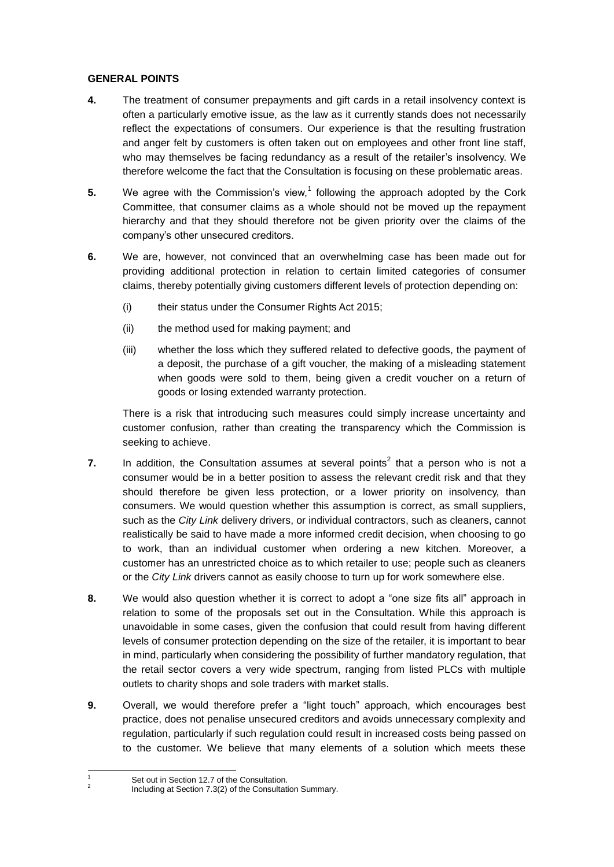### **GENERAL POINTS**

- **4.** The treatment of consumer prepayments and gift cards in a retail insolvency context is often a particularly emotive issue, as the law as it currently stands does not necessarily reflect the expectations of consumers. Our experience is that the resulting frustration and anger felt by customers is often taken out on employees and other front line staff, who may themselves be facing redundancy as a result of the retailer's insolvency. We therefore welcome the fact that the Consultation is focusing on these problematic areas.
- **5.** We agree with the Commission's view,<sup>1</sup> following the approach adopted by the Cork Committee, that consumer claims as a whole should not be moved up the repayment hierarchy and that they should therefore not be given priority over the claims of the company's other unsecured creditors.
- **6.** We are, however, not convinced that an overwhelming case has been made out for providing additional protection in relation to certain limited categories of consumer claims, thereby potentially giving customers different levels of protection depending on:
	- (i) their status under the Consumer Rights Act 2015;
	- (ii) the method used for making payment; and
	- (iii) whether the loss which they suffered related to defective goods, the payment of a deposit, the purchase of a gift voucher, the making of a misleading statement when goods were sold to them, being given a credit voucher on a return of goods or losing extended warranty protection.

There is a risk that introducing such measures could simply increase uncertainty and customer confusion, rather than creating the transparency which the Commission is seeking to achieve.

- **7.** In addition, the Consultation assumes at several points<sup>2</sup> that a person who is not a consumer would be in a better position to assess the relevant credit risk and that they should therefore be given less protection, or a lower priority on insolvency, than consumers. We would question whether this assumption is correct, as small suppliers, such as the *City Link* delivery drivers, or individual contractors, such as cleaners, cannot realistically be said to have made a more informed credit decision, when choosing to go to work, than an individual customer when ordering a new kitchen. Moreover, a customer has an unrestricted choice as to which retailer to use; people such as cleaners or the *City Link* drivers cannot as easily choose to turn up for work somewhere else.
- **8.** We would also question whether it is correct to adopt a "one size fits all" approach in relation to some of the proposals set out in the Consultation. While this approach is unavoidable in some cases, given the confusion that could result from having different levels of consumer protection depending on the size of the retailer, it is important to bear in mind, particularly when considering the possibility of further mandatory regulation, that the retail sector covers a very wide spectrum, ranging from listed PLCs with multiple outlets to charity shops and sole traders with market stalls.
- **9.** Overall, we would therefore prefer a "light touch" approach, which encourages best practice, does not penalise unsecured creditors and avoids unnecessary complexity and regulation, particularly if such regulation could result in increased costs being passed on to the customer. We believe that many elements of a solution which meets these

<sup>1</sup> Set out in Section 12.7 of the Consultation. 2

Including at Section 7.3(2) of the Consultation Summary.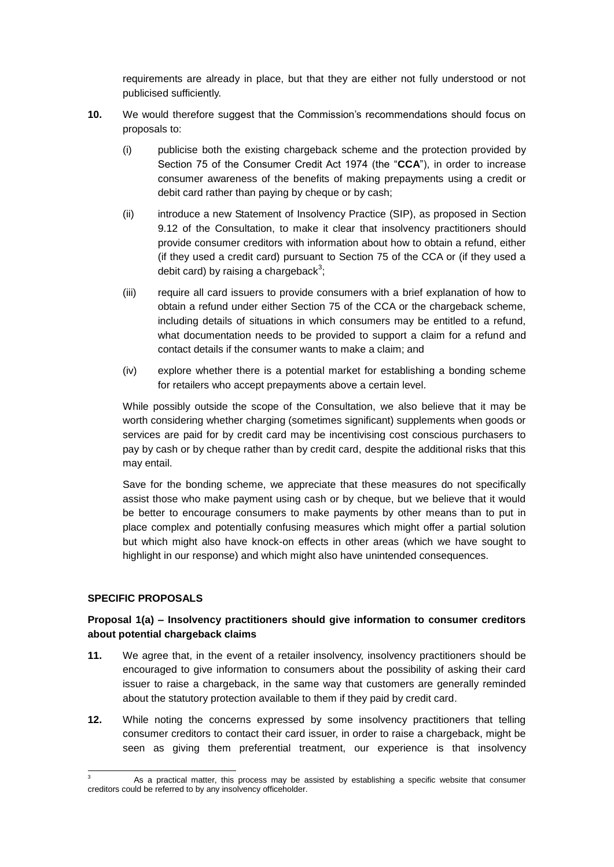requirements are already in place, but that they are either not fully understood or not publicised sufficiently.

- **10.** We would therefore suggest that the Commission's recommendations should focus on proposals to:
	- (i) publicise both the existing chargeback scheme and the protection provided by Section 75 of the Consumer Credit Act 1974 (the "**CCA**"), in order to increase consumer awareness of the benefits of making prepayments using a credit or debit card rather than paying by cheque or by cash;
	- (ii) introduce a new Statement of Insolvency Practice (SIP), as proposed in Section 9.12 of the Consultation, to make it clear that insolvency practitioners should provide consumer creditors with information about how to obtain a refund, either (if they used a credit card) pursuant to Section 75 of the CCA or (if they used a debit card) by raising a chargeback $^3;$
	- (iii) require all card issuers to provide consumers with a brief explanation of how to obtain a refund under either Section 75 of the CCA or the chargeback scheme, including details of situations in which consumers may be entitled to a refund, what documentation needs to be provided to support a claim for a refund and contact details if the consumer wants to make a claim; and
	- (iv) explore whether there is a potential market for establishing a bonding scheme for retailers who accept prepayments above a certain level.

While possibly outside the scope of the Consultation, we also believe that it may be worth considering whether charging (sometimes significant) supplements when goods or services are paid for by credit card may be incentivising cost conscious purchasers to pay by cash or by cheque rather than by credit card, despite the additional risks that this may entail.

Save for the bonding scheme, we appreciate that these measures do not specifically assist those who make payment using cash or by cheque, but we believe that it would be better to encourage consumers to make payments by other means than to put in place complex and potentially confusing measures which might offer a partial solution but which might also have knock-on effects in other areas (which we have sought to highlight in our response) and which might also have unintended consequences.

### **SPECIFIC PROPOSALS**

### **Proposal 1(a) – Insolvency practitioners should give information to consumer creditors about potential chargeback claims**

- **11.** We agree that, in the event of a retailer insolvency, insolvency practitioners should be encouraged to give information to consumers about the possibility of asking their card issuer to raise a chargeback, in the same way that customers are generally reminded about the statutory protection available to them if they paid by credit card.
- **12.** While noting the concerns expressed by some insolvency practitioners that telling consumer creditors to contact their card issuer, in order to raise a chargeback, might be seen as giving them preferential treatment, our experience is that insolvency

 $\mathbf{3}$ As a practical matter, this process may be assisted by establishing a specific website that consumer creditors could be referred to by any insolvency officeholder.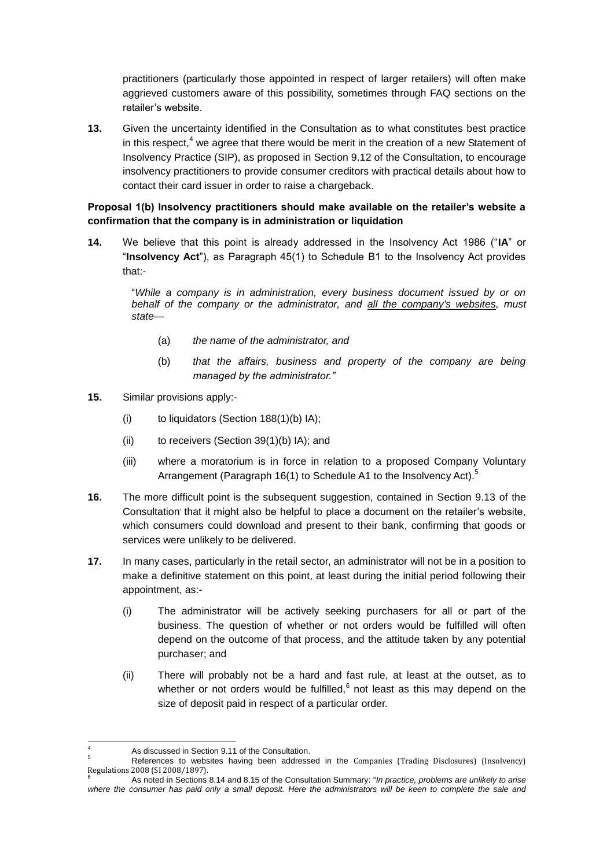practitioners (particularly those appointed in respect of larger retailers) will often make aggrieved customers aware of this possibility, sometimes through FAQ sections on the retailer's website.

**13.** Given the uncertainty identified in the Consultation as to what constitutes best practice in this respect, $4 \text{ we agree that there would be merit in the creation of a new Statement of }$ Insolvency Practice (SIP), as proposed in Section 9.12 of the Consultation, to encourage insolvency practitioners to provide consumer creditors with practical details about how to contact their card issuer in order to raise a chargeback.

### **Proposal 1(b) Insolvency practitioners should make available on the retailer's website a confirmation that the company is in administration or liquidation**

**14.** We believe that this point is already addressed in the Insolvency Act 1986 ("**IA**" or "**Insolvency Act**"), as Paragraph 45(1) to Schedule B1 to the Insolvency Act provides that:-

"*While a company is in administration, every business document issued by or on behalf of the company or the administrator, and all the company's websites, must state—*

- (a) *the name of the administrator, and*
- (b) *that the affairs, business and property of the company are being managed by the administrator."*
- **15.** Similar provisions apply:-
	- (i) to liquidators (Section 188(1)(b) IA);
	- (ii) to receivers (Section 39(1)(b) IA); and
	- (iii) where a moratorium is in force in relation to a proposed Company Voluntary Arrangement (Paragraph 16(1) to Schedule A1 to the Insolvency Act).<sup>5</sup>
- **16.** The more difficult point is the subsequent suggestion, contained in Section 9.13 of the Consultation that it might also be helpful to place a document on the retailer's website, which consumers could download and present to their bank, confirming that goods or services were unlikely to be delivered.
- **17.** In many cases, particularly in the retail sector, an administrator will not be in a position to make a definitive statement on this point, at least during the initial period following their appointment, as:-
	- (i) The administrator will be actively seeking purchasers for all or part of the business. The question of whether or not orders would be fulfilled will often depend on the outcome of that process, and the attitude taken by any potential purchaser; and
	- (ii) There will probably not be a hard and fast rule, at least at the outset, as to whether or not orders would be fulfilled, $<sup>6</sup>$  not least as this may depend on the</sup> size of deposit paid in respect of a particular order.

<sup>-</sup>As discussed in Section 9.11 of the Consultation.

<sup>5</sup> References to websites having been addressed in the Companies (Trading Disclosures) (Insolvency) Regulations 2008 (SI 2008/1897).

<sup>6</sup> As noted in Sections 8.14 and 8.15 of the Consultation Summary: "*In practice, problems are unlikely to arise*  where the consumer has paid only a small deposit. Here the administrators will be keen to complete the sale and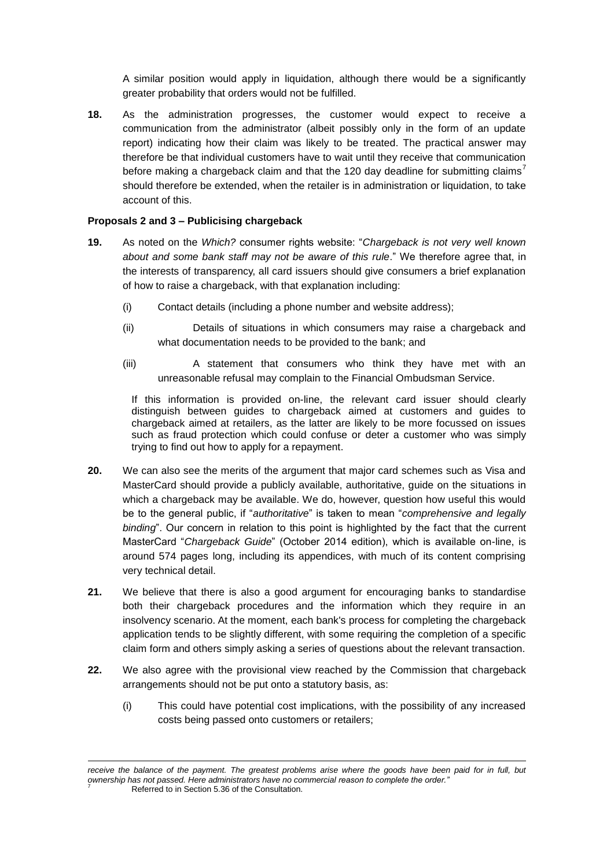A similar position would apply in liquidation, although there would be a significantly greater probability that orders would not be fulfilled.

**18.** As the administration progresses, the customer would expect to receive a communication from the administrator (albeit possibly only in the form of an update report) indicating how their claim was likely to be treated. The practical answer may therefore be that individual customers have to wait until they receive that communication before making a chargeback claim and that the 120 day deadline for submitting claims' should therefore be extended, when the retailer is in administration or liquidation, to take account of this.

### **Proposals 2 and 3 – Publicising chargeback**

- **19.** As noted on the *Which?* consumer rights website: "*Chargeback is not very well known about and some bank staff may not be aware of this rule*." We therefore agree that, in the interests of transparency, all card issuers should give consumers a brief explanation of how to raise a chargeback, with that explanation including:
	- (i) Contact details (including a phone number and website address);
	- (ii) Details of situations in which consumers may raise a chargeback and what documentation needs to be provided to the bank; and
	- (iii) A statement that consumers who think they have met with an unreasonable refusal may complain to the Financial Ombudsman Service.

If this information is provided on-line, the relevant card issuer should clearly distinguish between guides to chargeback aimed at customers and guides to chargeback aimed at retailers, as the latter are likely to be more focussed on issues such as fraud protection which could confuse or deter a customer who was simply trying to find out how to apply for a repayment.

- **20.** We can also see the merits of the argument that major card schemes such as Visa and MasterCard should provide a publicly available, authoritative, guide on the situations in which a chargeback may be available. We do, however, question how useful this would be to the general public, if "*authoritative*" is taken to mean "*comprehensive and legally binding*". Our concern in relation to this point is highlighted by the fact that the current MasterCard "*Chargeback Guide*" (October 2014 edition), which is available on-line, is around 574 pages long, including its appendices, with much of its content comprising very technical detail.
- **21.** We believe that there is also a good argument for encouraging banks to standardise both their chargeback procedures and the information which they require in an insolvency scenario. At the moment, each bank's process for completing the chargeback application tends to be slightly different, with some requiring the completion of a specific claim form and others simply asking a series of questions about the relevant transaction.
- **22.** We also agree with the provisional view reached by the Commission that chargeback arrangements should not be put onto a statutory basis, as:
	- (i) This could have potential cost implications, with the possibility of any increased costs being passed onto customers or retailers;

receive the balance of the payment. The greatest problems arise where the goods have been paid for in full, but *ownership has not passed. Here administrators have no commercial reason to complete the order."* Referred to in Section 5.36 of the Consultation.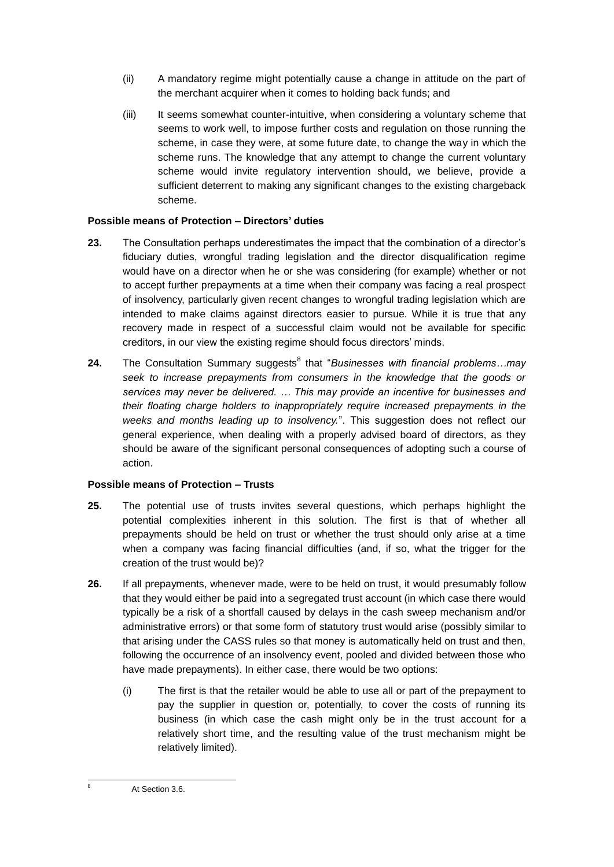- (ii) A mandatory regime might potentially cause a change in attitude on the part of the merchant acquirer when it comes to holding back funds; and
- (iii) It seems somewhat counter-intuitive, when considering a voluntary scheme that seems to work well, to impose further costs and regulation on those running the scheme, in case they were, at some future date, to change the way in which the scheme runs. The knowledge that any attempt to change the current voluntary scheme would invite regulatory intervention should, we believe, provide a sufficient deterrent to making any significant changes to the existing chargeback scheme.

### **Possible means of Protection – Directors' duties**

- **23.** The Consultation perhaps underestimates the impact that the combination of a director's fiduciary duties, wrongful trading legislation and the director disqualification regime would have on a director when he or she was considering (for example) whether or not to accept further prepayments at a time when their company was facing a real prospect of insolvency, particularly given recent changes to wrongful trading legislation which are intended to make claims against directors easier to pursue. While it is true that any recovery made in respect of a successful claim would not be available for specific creditors, in our view the existing regime should focus directors' minds.
- **24.** The Consultation Summary suggests<sup>8</sup> that "*Businesses with financial problems...may seek to increase prepayments from consumers in the knowledge that the goods or services may never be delivered. … This may provide an incentive for businesses and their floating charge holders to inappropriately require increased prepayments in the weeks and months leading up to insolvency.*". This suggestion does not reflect our general experience, when dealing with a properly advised board of directors, as they should be aware of the significant personal consequences of adopting such a course of action.

## **Possible means of Protection – Trusts**

- **25.** The potential use of trusts invites several questions, which perhaps highlight the potential complexities inherent in this solution. The first is that of whether all prepayments should be held on trust or whether the trust should only arise at a time when a company was facing financial difficulties (and, if so, what the trigger for the creation of the trust would be)?
- **26.** If all prepayments, whenever made, were to be held on trust, it would presumably follow that they would either be paid into a segregated trust account (in which case there would typically be a risk of a shortfall caused by delays in the cash sweep mechanism and/or administrative errors) or that some form of statutory trust would arise (possibly similar to that arising under the CASS rules so that money is automatically held on trust and then, following the occurrence of an insolvency event, pooled and divided between those who have made prepayments). In either case, there would be two options:
	- (i) The first is that the retailer would be able to use all or part of the prepayment to pay the supplier in question or, potentially, to cover the costs of running its business (in which case the cash might only be in the trust account for a relatively short time, and the resulting value of the trust mechanism might be relatively limited).

-

At Section 3.6.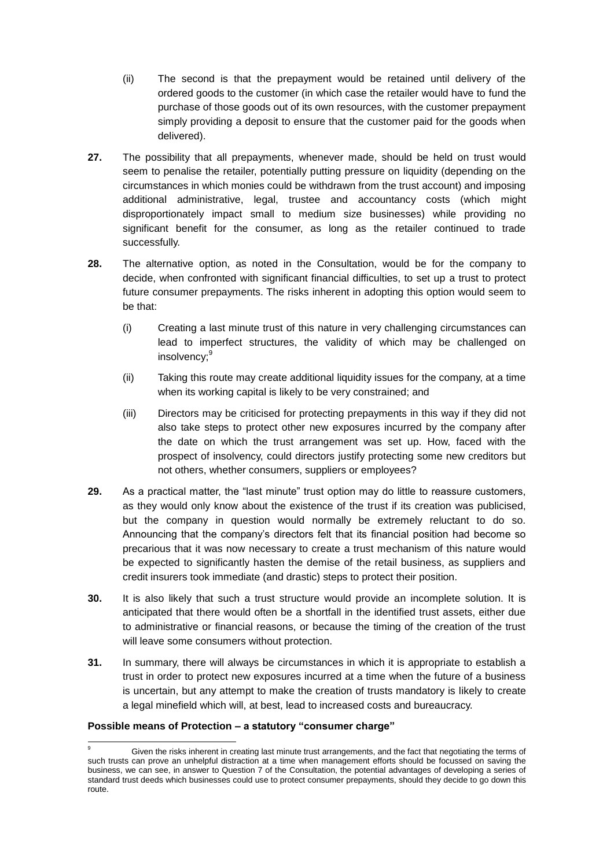- (ii) The second is that the prepayment would be retained until delivery of the ordered goods to the customer (in which case the retailer would have to fund the purchase of those goods out of its own resources, with the customer prepayment simply providing a deposit to ensure that the customer paid for the goods when delivered).
- **27.** The possibility that all prepayments, whenever made, should be held on trust would seem to penalise the retailer, potentially putting pressure on liquidity (depending on the circumstances in which monies could be withdrawn from the trust account) and imposing additional administrative, legal, trustee and accountancy costs (which might disproportionately impact small to medium size businesses) while providing no significant benefit for the consumer, as long as the retailer continued to trade successfully.
- **28.** The alternative option, as noted in the Consultation, would be for the company to decide, when confronted with significant financial difficulties, to set up a trust to protect future consumer prepayments. The risks inherent in adopting this option would seem to be that:
	- (i) Creating a last minute trust of this nature in very challenging circumstances can lead to imperfect structures, the validity of which may be challenged on insolvency:<sup>9</sup>
	- (ii) Taking this route may create additional liquidity issues for the company, at a time when its working capital is likely to be very constrained; and
	- (iii) Directors may be criticised for protecting prepayments in this way if they did not also take steps to protect other new exposures incurred by the company after the date on which the trust arrangement was set up. How, faced with the prospect of insolvency, could directors justify protecting some new creditors but not others, whether consumers, suppliers or employees?
- **29.** As a practical matter, the "last minute" trust option may do little to reassure customers, as they would only know about the existence of the trust if its creation was publicised, but the company in question would normally be extremely reluctant to do so. Announcing that the company's directors felt that its financial position had become so precarious that it was now necessary to create a trust mechanism of this nature would be expected to significantly hasten the demise of the retail business, as suppliers and credit insurers took immediate (and drastic) steps to protect their position.
- **30.** It is also likely that such a trust structure would provide an incomplete solution. It is anticipated that there would often be a shortfall in the identified trust assets, either due to administrative or financial reasons, or because the timing of the creation of the trust will leave some consumers without protection.
- **31.** In summary, there will always be circumstances in which it is appropriate to establish a trust in order to protect new exposures incurred at a time when the future of a business is uncertain, but any attempt to make the creation of trusts mandatory is likely to create a legal minefield which will, at best, lead to increased costs and bureaucracy.

### **Possible means of Protection – a statutory "consumer charge"**

 $\overline{9}$ Given the risks inherent in creating last minute trust arrangements, and the fact that negotiating the terms of such trusts can prove an unhelpful distraction at a time when management efforts should be focussed on saving the business, we can see, in answer to Question 7 of the Consultation, the potential advantages of developing a series of standard trust deeds which businesses could use to protect consumer prepayments, should they decide to go down this route.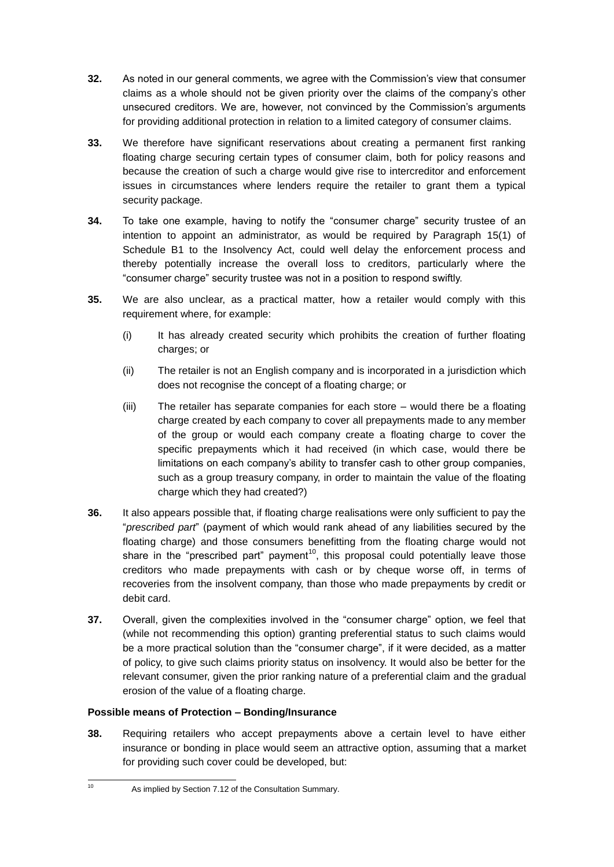- **32.** As noted in our general comments, we agree with the Commission's view that consumer claims as a whole should not be given priority over the claims of the company's other unsecured creditors. We are, however, not convinced by the Commission's arguments for providing additional protection in relation to a limited category of consumer claims.
- **33.** We therefore have significant reservations about creating a permanent first ranking floating charge securing certain types of consumer claim, both for policy reasons and because the creation of such a charge would give rise to intercreditor and enforcement issues in circumstances where lenders require the retailer to grant them a typical security package.
- **34.** To take one example, having to notify the "consumer charge" security trustee of an intention to appoint an administrator, as would be required by Paragraph 15(1) of Schedule B1 to the Insolvency Act, could well delay the enforcement process and thereby potentially increase the overall loss to creditors, particularly where the "consumer charge" security trustee was not in a position to respond swiftly.
- **35.** We are also unclear, as a practical matter, how a retailer would comply with this requirement where, for example:
	- (i) It has already created security which prohibits the creation of further floating charges; or
	- (ii) The retailer is not an English company and is incorporated in a jurisdiction which does not recognise the concept of a floating charge; or
	- (iii) The retailer has separate companies for each store would there be a floating charge created by each company to cover all prepayments made to any member of the group or would each company create a floating charge to cover the specific prepayments which it had received (in which case, would there be limitations on each company's ability to transfer cash to other group companies, such as a group treasury company, in order to maintain the value of the floating charge which they had created?)
- **36.** It also appears possible that, if floating charge realisations were only sufficient to pay the "*prescribed part*" (payment of which would rank ahead of any liabilities secured by the floating charge) and those consumers benefitting from the floating charge would not share in the "prescribed part" payment<sup>10</sup>, this proposal could potentially leave those creditors who made prepayments with cash or by cheque worse off, in terms of recoveries from the insolvent company, than those who made prepayments by credit or debit card.
- **37.** Overall, given the complexities involved in the "consumer charge" option, we feel that (while not recommending this option) granting preferential status to such claims would be a more practical solution than the "consumer charge", if it were decided, as a matter of policy, to give such claims priority status on insolvency. It would also be better for the relevant consumer, given the prior ranking nature of a preferential claim and the gradual erosion of the value of a floating charge.

### **Possible means of Protection – Bonding/Insurance**

**38.** Requiring retailers who accept prepayments above a certain level to have either insurance or bonding in place would seem an attractive option, assuming that a market for providing such cover could be developed, but:

 $10$ 

As implied by Section 7.12 of the Consultation Summary.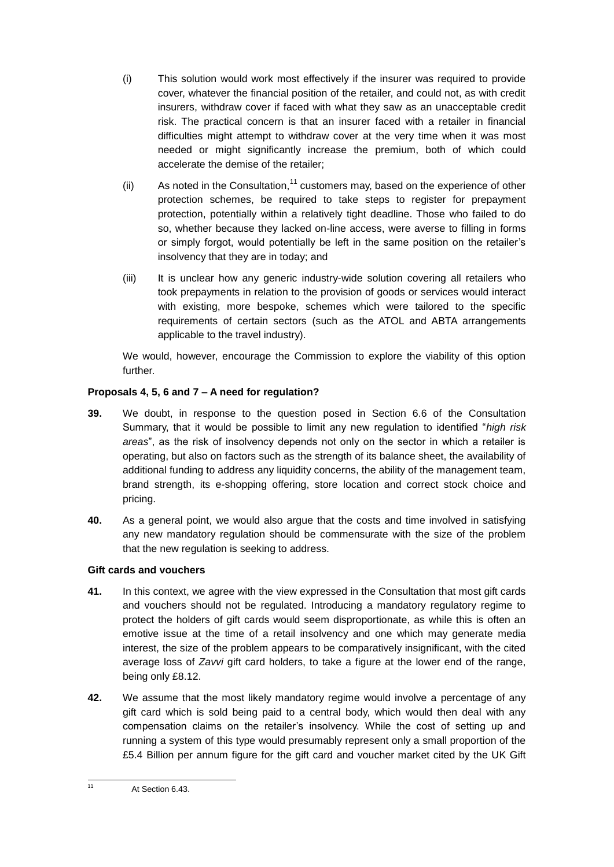- (i) This solution would work most effectively if the insurer was required to provide cover, whatever the financial position of the retailer, and could not, as with credit insurers, withdraw cover if faced with what they saw as an unacceptable credit risk. The practical concern is that an insurer faced with a retailer in financial difficulties might attempt to withdraw cover at the very time when it was most needed or might significantly increase the premium, both of which could accelerate the demise of the retailer;
- (ii) As noted in the Consultation,  $11$  customers may, based on the experience of other protection schemes, be required to take steps to register for prepayment protection, potentially within a relatively tight deadline. Those who failed to do so, whether because they lacked on-line access, were averse to filling in forms or simply forgot, would potentially be left in the same position on the retailer's insolvency that they are in today; and
- (iii) It is unclear how any generic industry-wide solution covering all retailers who took prepayments in relation to the provision of goods or services would interact with existing, more bespoke, schemes which were tailored to the specific requirements of certain sectors (such as the ATOL and ABTA arrangements applicable to the travel industry).

We would, however, encourage the Commission to explore the viability of this option further.

### **Proposals 4, 5, 6 and 7 – A need for regulation?**

- **39.** We doubt, in response to the question posed in Section 6.6 of the Consultation Summary, that it would be possible to limit any new regulation to identified "*high risk areas*", as the risk of insolvency depends not only on the sector in which a retailer is operating, but also on factors such as the strength of its balance sheet, the availability of additional funding to address any liquidity concerns, the ability of the management team, brand strength, its e-shopping offering, store location and correct stock choice and pricing.
- **40.** As a general point, we would also argue that the costs and time involved in satisfying any new mandatory regulation should be commensurate with the size of the problem that the new regulation is seeking to address.

### **Gift cards and vouchers**

- **41.** In this context, we agree with the view expressed in the Consultation that most gift cards and vouchers should not be regulated. Introducing a mandatory regulatory regime to protect the holders of gift cards would seem disproportionate, as while this is often an emotive issue at the time of a retail insolvency and one which may generate media interest, the size of the problem appears to be comparatively insignificant, with the cited average loss of *Zavvi* gift card holders, to take a figure at the lower end of the range, being only £8.12.
- **42.** We assume that the most likely mandatory regime would involve a percentage of any gift card which is sold being paid to a central body, which would then deal with any compensation claims on the retailer's insolvency. While the cost of setting up and running a system of this type would presumably represent only a small proportion of the £5.4 Billion per annum figure for the gift card and voucher market cited by the UK Gift

At Section 6.43.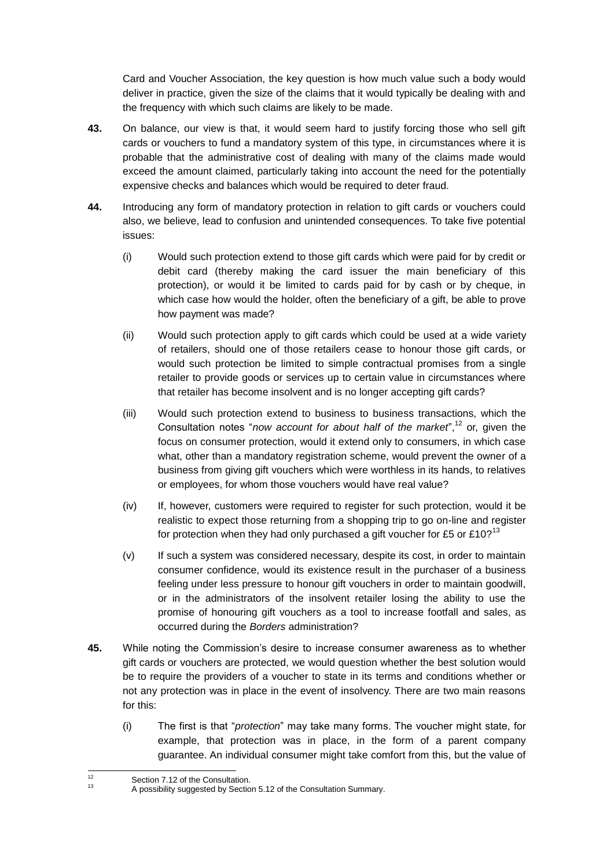Card and Voucher Association, the key question is how much value such a body would deliver in practice, given the size of the claims that it would typically be dealing with and the frequency with which such claims are likely to be made.

- **43.** On balance, our view is that, it would seem hard to justify forcing those who sell gift cards or vouchers to fund a mandatory system of this type, in circumstances where it is probable that the administrative cost of dealing with many of the claims made would exceed the amount claimed, particularly taking into account the need for the potentially expensive checks and balances which would be required to deter fraud.
- **44.** Introducing any form of mandatory protection in relation to gift cards or vouchers could also, we believe, lead to confusion and unintended consequences. To take five potential issues:
	- (i) Would such protection extend to those gift cards which were paid for by credit or debit card (thereby making the card issuer the main beneficiary of this protection), or would it be limited to cards paid for by cash or by cheque, in which case how would the holder, often the beneficiary of a gift, be able to prove how payment was made?
	- (ii) Would such protection apply to gift cards which could be used at a wide variety of retailers, should one of those retailers cease to honour those gift cards, or would such protection be limited to simple contractual promises from a single retailer to provide goods or services up to certain value in circumstances where that retailer has become insolvent and is no longer accepting gift cards?
	- (iii) Would such protection extend to business to business transactions, which the Consultation notes "*now account for about half of the market*",<sup>12</sup> or, given the focus on consumer protection, would it extend only to consumers, in which case what, other than a mandatory registration scheme, would prevent the owner of a business from giving gift vouchers which were worthless in its hands, to relatives or employees, for whom those vouchers would have real value?
	- (iv) If, however, customers were required to register for such protection, would it be realistic to expect those returning from a shopping trip to go on-line and register for protection when they had only purchased a gift voucher for £5 or £10?<sup>13</sup>
	- (v) If such a system was considered necessary, despite its cost, in order to maintain consumer confidence, would its existence result in the purchaser of a business feeling under less pressure to honour gift vouchers in order to maintain goodwill, or in the administrators of the insolvent retailer losing the ability to use the promise of honouring gift vouchers as a tool to increase footfall and sales, as occurred during the *Borders* administration?
- **45.** While noting the Commission's desire to increase consumer awareness as to whether gift cards or vouchers are protected, we would question whether the best solution would be to require the providers of a voucher to state in its terms and conditions whether or not any protection was in place in the event of insolvency. There are two main reasons for this:
	- (i) The first is that "*protection*" may take many forms. The voucher might state, for example, that protection was in place, in the form of a parent company guarantee. An individual consumer might take comfort from this, but the value of

 $12$ <sup>12</sup> Section 7.12 of the Consultation.

<sup>13</sup> A possibility suggested by Section 5.12 of the Consultation Summary.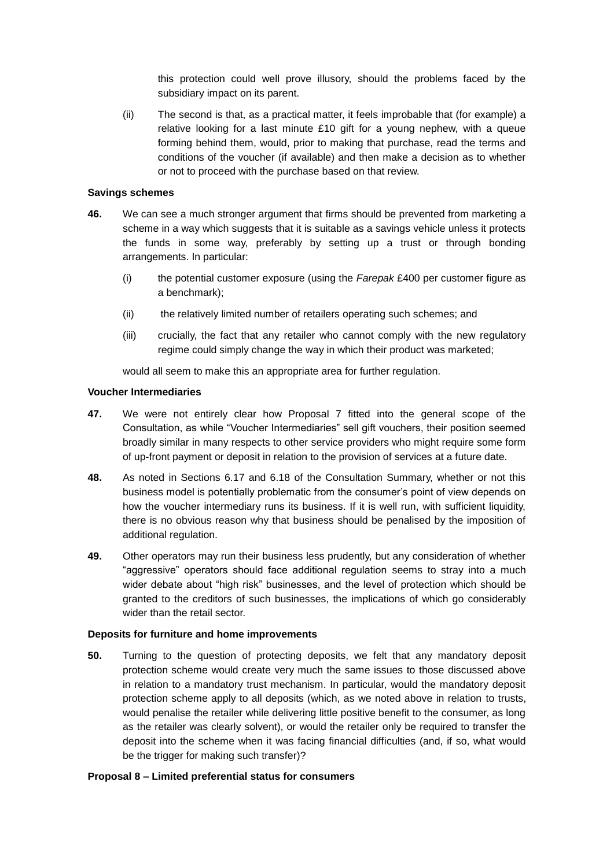this protection could well prove illusory, should the problems faced by the subsidiary impact on its parent.

(ii) The second is that, as a practical matter, it feels improbable that (for example) a relative looking for a last minute £10 gift for a young nephew, with a queue forming behind them, would, prior to making that purchase, read the terms and conditions of the voucher (if available) and then make a decision as to whether or not to proceed with the purchase based on that review.

#### **Savings schemes**

- **46.** We can see a much stronger argument that firms should be prevented from marketing a scheme in a way which suggests that it is suitable as a savings vehicle unless it protects the funds in some way, preferably by setting up a trust or through bonding arrangements. In particular:
	- (i) the potential customer exposure (using the *Farepak* £400 per customer figure as a benchmark);
	- (ii) the relatively limited number of retailers operating such schemes; and
	- (iii) crucially, the fact that any retailer who cannot comply with the new regulatory regime could simply change the way in which their product was marketed;

would all seem to make this an appropriate area for further regulation.

#### **Voucher Intermediaries**

- **47.** We were not entirely clear how Proposal 7 fitted into the general scope of the Consultation, as while "Voucher Intermediaries" sell gift vouchers, their position seemed broadly similar in many respects to other service providers who might require some form of up-front payment or deposit in relation to the provision of services at a future date.
- **48.** As noted in Sections 6.17 and 6.18 of the Consultation Summary, whether or not this business model is potentially problematic from the consumer's point of view depends on how the voucher intermediary runs its business. If it is well run, with sufficient liquidity, there is no obvious reason why that business should be penalised by the imposition of additional regulation.
- **49.** Other operators may run their business less prudently, but any consideration of whether "aggressive" operators should face additional regulation seems to stray into a much wider debate about "high risk" businesses, and the level of protection which should be granted to the creditors of such businesses, the implications of which go considerably wider than the retail sector.

#### **Deposits for furniture and home improvements**

**50.** Turning to the question of protecting deposits, we felt that any mandatory deposit protection scheme would create very much the same issues to those discussed above in relation to a mandatory trust mechanism. In particular, would the mandatory deposit protection scheme apply to all deposits (which, as we noted above in relation to trusts, would penalise the retailer while delivering little positive benefit to the consumer, as long as the retailer was clearly solvent), or would the retailer only be required to transfer the deposit into the scheme when it was facing financial difficulties (and, if so, what would be the trigger for making such transfer)?

### **Proposal 8 – Limited preferential status for consumers**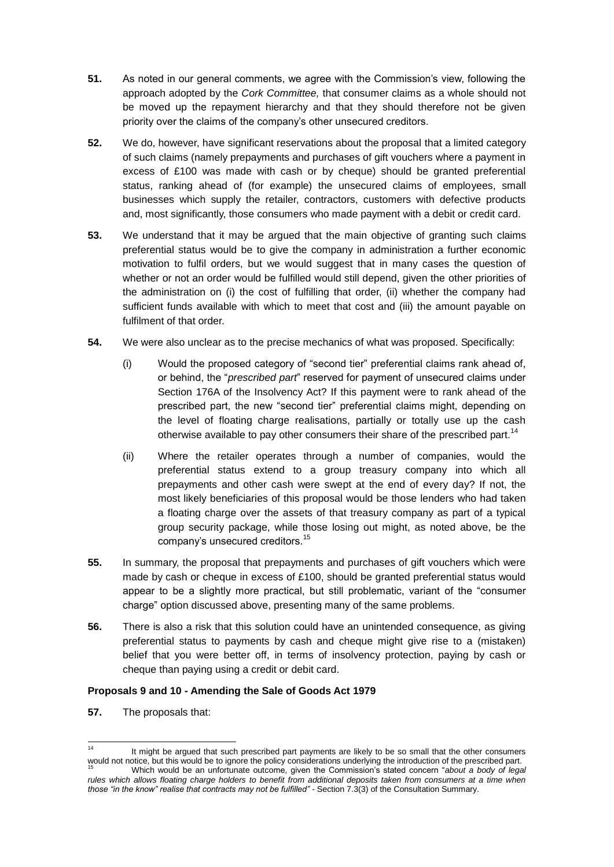- **51.** As noted in our general comments, we agree with the Commission's view, following the approach adopted by the *Cork Committee,* that consumer claims as a whole should not be moved up the repayment hierarchy and that they should therefore not be given priority over the claims of the company's other unsecured creditors.
- **52.** We do, however, have significant reservations about the proposal that a limited category of such claims (namely prepayments and purchases of gift vouchers where a payment in excess of £100 was made with cash or by cheque) should be granted preferential status, ranking ahead of (for example) the unsecured claims of employees, small businesses which supply the retailer, contractors, customers with defective products and, most significantly, those consumers who made payment with a debit or credit card.
- **53.** We understand that it may be argued that the main objective of granting such claims preferential status would be to give the company in administration a further economic motivation to fulfil orders, but we would suggest that in many cases the question of whether or not an order would be fulfilled would still depend, given the other priorities of the administration on (i) the cost of fulfilling that order, (ii) whether the company had sufficient funds available with which to meet that cost and (iii) the amount payable on fulfilment of that order.
- **54.** We were also unclear as to the precise mechanics of what was proposed. Specifically:
	- (i) Would the proposed category of "second tier" preferential claims rank ahead of, or behind, the "*prescribed part*" reserved for payment of unsecured claims under Section 176A of the Insolvency Act? If this payment were to rank ahead of the prescribed part, the new "second tier" preferential claims might, depending on the level of floating charge realisations, partially or totally use up the cash otherwise available to pay other consumers their share of the prescribed part.<sup>14</sup>
	- (ii) Where the retailer operates through a number of companies, would the preferential status extend to a group treasury company into which all prepayments and other cash were swept at the end of every day? If not, the most likely beneficiaries of this proposal would be those lenders who had taken a floating charge over the assets of that treasury company as part of a typical group security package, while those losing out might, as noted above, be the company's unsecured creditors.<sup>15</sup>
- **55.** In summary, the proposal that prepayments and purchases of gift vouchers which were made by cash or cheque in excess of £100, should be granted preferential status would appear to be a slightly more practical, but still problematic, variant of the "consumer charge" option discussed above, presenting many of the same problems.
- **56.** There is also a risk that this solution could have an unintended consequence, as giving preferential status to payments by cash and cheque might give rise to a (mistaken) belief that you were better off, in terms of insolvency protection, paying by cash or cheque than paying using a credit or debit card.

### **Proposals 9 and 10 - Amending the Sale of Goods Act 1979**

**57.** The proposals that:

 $14$ It might be argued that such prescribed part payments are likely to be so small that the other consumers would not notice, but this would be to ignore the policy considerations underlying the introduction of the prescribed part. <sup>15</sup> Which would be an unfortunate outcome, given the Commission's stated concern "*about a body of legal* 

*rules which allows floating charge holders to benefit from additional deposits taken from consumers at a time when those "in the know" realise that contracts may not be fulfilled" -* Section 7.3(3) of the Consultation Summary.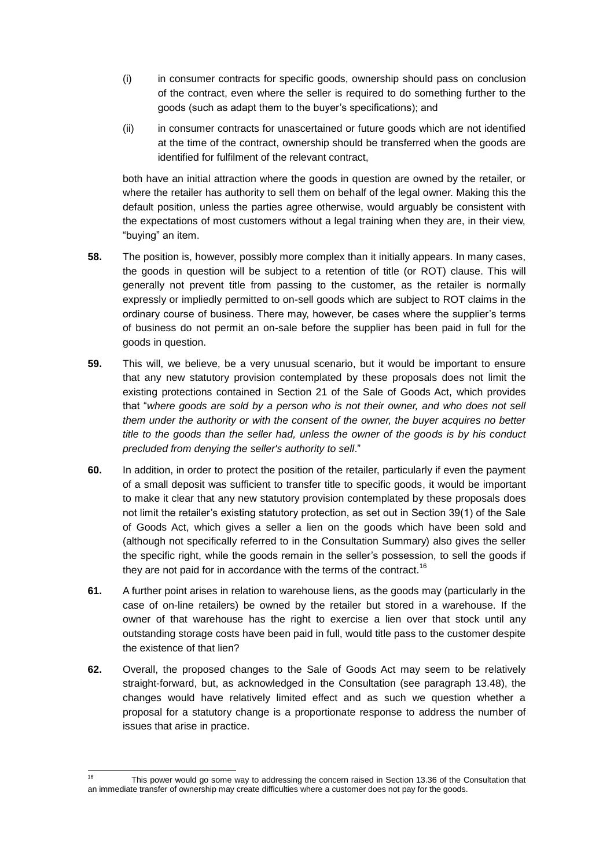- (i) in consumer contracts for specific goods, ownership should pass on conclusion of the contract, even where the seller is required to do something further to the goods (such as adapt them to the buyer's specifications); and
- (ii) in consumer contracts for unascertained or future goods which are not identified at the time of the contract, ownership should be transferred when the goods are identified for fulfilment of the relevant contract,

both have an initial attraction where the goods in question are owned by the retailer, or where the retailer has authority to sell them on behalf of the legal owner. Making this the default position, unless the parties agree otherwise, would arguably be consistent with the expectations of most customers without a legal training when they are, in their view, "buying" an item.

- **58.** The position is, however, possibly more complex than it initially appears. In many cases, the goods in question will be subject to a retention of title (or ROT) clause. This will generally not prevent title from passing to the customer, as the retailer is normally expressly or impliedly permitted to on-sell goods which are subject to ROT claims in the ordinary course of business. There may, however, be cases where the supplier's terms of business do not permit an on-sale before the supplier has been paid in full for the goods in question.
- **59.** This will, we believe, be a very unusual scenario, but it would be important to ensure that any new statutory provision contemplated by these proposals does not limit the existing protections contained in Section 21 of the Sale of Goods Act, which provides that "*where goods are sold by a person who is not their owner, and who does not sell them under the authority or with the consent of the owner, the buyer acquires no better title to the goods than the seller had, unless the owner of the goods is by his conduct precluded from denying the seller's authority to sell*."
- **60.** In addition, in order to protect the position of the retailer, particularly if even the payment of a small deposit was sufficient to transfer title to specific goods, it would be important to make it clear that any new statutory provision contemplated by these proposals does not limit the retailer's existing statutory protection, as set out in Section 39(1) of the Sale of Goods Act, which gives a seller a lien on the goods which have been sold and (although not specifically referred to in the Consultation Summary) also gives the seller the specific right, while the goods remain in the seller's possession, to sell the goods if they are not paid for in accordance with the terms of the contract.<sup>16</sup>
- **61.** A further point arises in relation to warehouse liens, as the goods may (particularly in the case of on-line retailers) be owned by the retailer but stored in a warehouse. If the owner of that warehouse has the right to exercise a lien over that stock until any outstanding storage costs have been paid in full, would title pass to the customer despite the existence of that lien?
- **62.** Overall, the proposed changes to the Sale of Goods Act may seem to be relatively straight-forward, but, as acknowledged in the Consultation (see paragraph 13.48), the changes would have relatively limited effect and as such we question whether a proposal for a statutory change is a proportionate response to address the number of issues that arise in practice.

<sup>16</sup> This power would go some way to addressing the concern raised in Section 13.36 of the Consultation that an immediate transfer of ownership may create difficulties where a customer does not pay for the goods.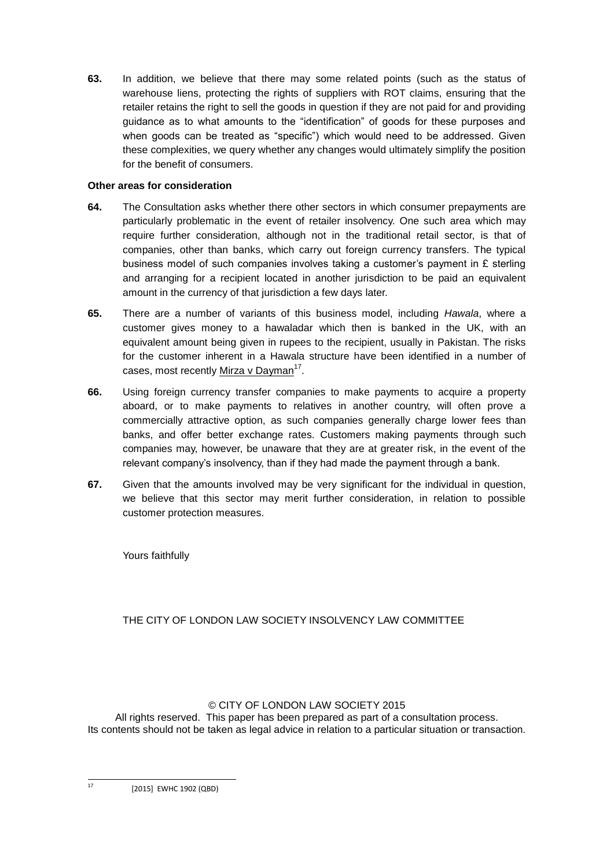**63.** In addition, we believe that there may some related points (such as the status of warehouse liens, protecting the rights of suppliers with ROT claims, ensuring that the retailer retains the right to sell the goods in question if they are not paid for and providing guidance as to what amounts to the "identification" of goods for these purposes and when goods can be treated as "specific") which would need to be addressed. Given these complexities, we query whether any changes would ultimately simplify the position for the benefit of consumers.

### **Other areas for consideration**

- **64.** The Consultation asks whether there other sectors in which consumer prepayments are particularly problematic in the event of retailer insolvency. One such area which may require further consideration, although not in the traditional retail sector, is that of companies, other than banks, which carry out foreign currency transfers. The typical business model of such companies involves taking a customer's payment in  $E$  sterling and arranging for a recipient located in another jurisdiction to be paid an equivalent amount in the currency of that jurisdiction a few days later.
- **65.** There are a number of variants of this business model, including *Hawala*, where a customer gives money to a hawaladar which then is banked in the UK, with an equivalent amount being given in rupees to the recipient, usually in Pakistan. The risks for the customer inherent in a Hawala structure have been identified in a number of cases, most recently Mirza v Dayman<sup>17</sup>.
- **66.** Using foreign currency transfer companies to make payments to acquire a property aboard, or to make payments to relatives in another country, will often prove a commercially attractive option, as such companies generally charge lower fees than banks, and offer better exchange rates. Customers making payments through such companies may, however, be unaware that they are at greater risk, in the event of the relevant company's insolvency, than if they had made the payment through a bank.
- **67.** Given that the amounts involved may be very significant for the individual in question, we believe that this sector may merit further consideration, in relation to possible customer protection measures.

Yours faithfully

# THE CITY OF LONDON LAW SOCIETY INSOLVENCY LAW COMMITTEE

### © CITY OF LONDON LAW SOCIETY 2015

All rights reserved. This paper has been prepared as part of a consultation process. Its contents should not be taken as legal advice in relation to a particular situation or transaction.

[2015] EWHC 1902 (QBD)